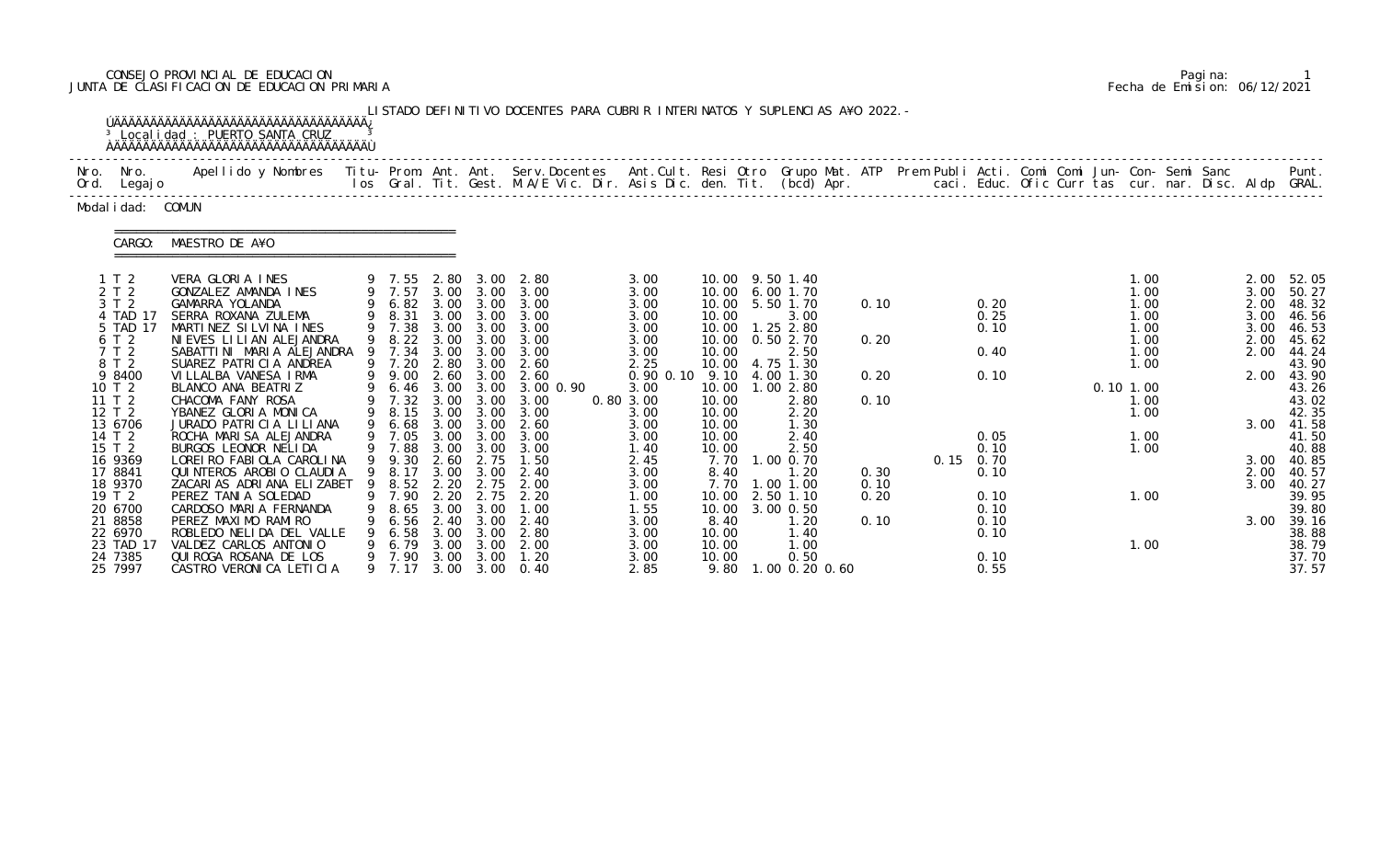# CONSEJO PROVINCIAL DE EDUCACION Pagina: 1 JUNTA DE CLASIFICACION DE EDUCACION PRIMARIA Fecha de Emision: 06/12/2021

|                                 | <sup>3</sup> Local i dad: PUERTO SANTA CRUZ<br><b>OAAAAAAAAAAAAAAAAAAAAAAAAAAAAAAAAAA</b>                                                                                                                                         |   |                                              |                      |                                        | LISTADO DEFINITIVO DOCENTES PARA CUBRIR INTERINATOS Y SUPLENCIAS A¥O 2022. - |                           |                         |                                |              |                                   |             |                      |  |                      |                          |
|---------------------------------|-----------------------------------------------------------------------------------------------------------------------------------------------------------------------------------------------------------------------------------|---|----------------------------------------------|----------------------|----------------------------------------|------------------------------------------------------------------------------|---------------------------|-------------------------|--------------------------------|--------------|-----------------------------------|-------------|----------------------|--|----------------------|--------------------------|
| Nro. Nro.<br>Ord. Legajo        | Apellido y Nombres  Titu- Prom. Ant. Ant.  Serv.Docentes  Ant.Cult. Resi Otro  Grupo Mat. ATP  Prem Publi Acti. Comi Comi Jun- Con- Semi Sanc              Punt.<br>Ios Gral. Tit. Gest. M.A/E Vic. Dir. Asis Dic. den. Tit. (bcd |   |                                              |                      |                                        |                                                                              |                           |                         |                                |              |                                   |             |                      |  |                      |                          |
| Modal i dad: COMUN              |                                                                                                                                                                                                                                   |   |                                              |                      |                                        |                                                                              |                           |                         |                                |              |                                   |             |                      |  |                      |                          |
| CARGO:                          | MAESTRO DE A¥O                                                                                                                                                                                                                    |   |                                              |                      |                                        |                                                                              |                           |                         |                                |              |                                   |             |                      |  |                      |                          |
| 1 T 2                           | VERA GLORIA INES                                                                                                                                                                                                                  |   |                                              |                      |                                        | 9 7.55 2.80 3.00 2.80                                                        | 3.00                      |                         | 10.00 9.50 1.40                |              |                                   |             | 1.00                 |  | 2.00                 | 52.05                    |
| 2 T 2<br>3 T 2<br>4 TAD 17      | GONZALEZ AMANDA INES<br>GAMARRA YOLANDA<br>SERRA ROXANA ZULEMA                                                                                                                                                                    |   | 9 7.57<br>9 8.31                             |                      |                                        | 3.00 3.00 3.00<br>9 6.82 3.00 3.00 3.00<br>3.00 3.00 3.00                    | 3.00<br>3.00<br>3.00      | 10.00<br>10.00<br>10.00 | 6.00 1.70<br>5.50 1.70<br>3.00 | 0.10         | 0.20<br>0.25                      |             | 1.00<br>1.00<br>1.00 |  | 3.00<br>2.00<br>3.00 | 50.27<br>48.32<br>46. 56 |
| 5 TAD 17<br>6 T 2<br>7 T 2      | MARTINEZ SILVINA INES<br>NIEVES LILIAN ALEJANDRA<br>SABATTINI MARIA ALEJANDRA                                                                                                                                                     | 9 | 9 7.38<br>9 8.22<br>7.34                     | 3.00<br>3.00         | 3.00 3.00<br>3.00<br>3.00              | 3.00<br>3.00<br>3.00                                                         | 3.00<br>3.00<br>3.00      | 10.00<br>10.00<br>10.00 | 1.25 2.80<br>0.50 2.70<br>2.50 | 0.20         | 0.10<br>0.40                      |             | 1.00<br>1.00<br>1.00 |  | 3.00<br>2.00<br>2.00 | 46.53<br>45.62           |
| 8 T 2<br>9 8400                 | SUAREZ PATRICIA ANDREA<br>VILLALBA VANESA IRMA                                                                                                                                                                                    |   | 9 7.20<br>9 9.00                             |                      | 2.80 3.00<br>2.60 3.00                 | 2.60<br>2.60                                                                 | 2.25<br>$0.90$ $0.10$     | 10.00<br>9.10           | 4.75 1.30<br>4.00 1.30         | 0.20         | 0.10                              |             | 1.00                 |  | 2.00                 | 44.24<br>43.90<br>43.90  |
| 10 T 2<br>11 T 2<br>12 T 2      | BLANCO ANA BEATRIZ<br>CHACOMA FANY ROSA<br>YBANEZ GLORIA MONICA                                                                                                                                                                   |   | 6.46 3.00 3.00<br>9 7.32 3.00 3.00<br>9 8.15 | 3.00                 | 3.00                                   | 3.00 0.90<br>3.00<br>3.00                                                    | 3.00<br>0.80 3.00<br>3.00 | 10.00<br>10.00<br>10.00 | 1.002.80<br>2.80<br>2.20       | 0.10         |                                   | $0.10$ 1.00 | 1.00<br>1.00         |  |                      | 43.26<br>43.02<br>42.35  |
| 13 6706<br>14 T 2               | JURADO PATRICIA LILIANA<br>ROCHA MARISA ALEJANDRA                                                                                                                                                                                 | 9 | 6.68                                         | 3.00                 | 3.00                                   | 2.60<br>9 7.05 3.00 3.00 3.00                                                | 3.00<br>3.00              | 10.00<br>10.00          | 1.30<br>2.40                   |              | 0.05                              |             | 1.00                 |  | 3.00                 | 41.58<br>41.50           |
| 15 T 2<br>16 9369<br>17 8841    | BURGOS LEONOR NELIDA<br>LOREI RO FABI OLA CAROLI NA<br>QUI NTEROS AROBIO CLAUDIA                                                                                                                                                  |   | 9 7.88<br>9 9.30<br>9 8.17                   | 2.60                 | $3.00 \quad 3.00$<br>2.75<br>3.00 3.00 | 3.00<br>1.50<br>2.40                                                         | 1.40<br>2.45<br>3.00      | 10.00<br>8.40           | 2.50<br>7.70 1.00 0.70<br>1.20 | 0.30         | 0.10<br>$0.15 \quad 0.70$<br>0.10 |             | 1.00                 |  | 3.00<br>2.00         | 40.88<br>40.85<br>40. 57 |
| 18 9370<br>19 T 2               | ZACARIAS ADRIANA ELIZABET<br>PEREZ TANIA SOLEDAD                                                                                                                                                                                  |   | 9 8.52 2.20<br>7.90                          | 2. 20                | 2.75<br>2.75                           | 2.00<br>2.20                                                                 | 3.00<br>1.00              | 10.00                   | 7.70 1.00 1.00<br>2.50 1.10    | 0.10<br>0.20 | 0.10                              |             | 1.00                 |  | 3.00                 | 40.27<br>39.95           |
| 20 6700<br>21 8858<br>22 6970   | CARDOSO MARIA FERNANDA<br>PEREZ MAXIMO RAMIRO<br>ROBLEDO NELIDA DEL VALLE                                                                                                                                                         |   | 8.65<br>6.56<br>6.58                         | 3.00<br>2.40<br>3.00 | 3.00<br>3.00<br>3.00                   | 1.00<br>2.40<br>2.80                                                         | 1.55<br>3.00<br>3.00      | 10.00<br>8.40<br>10.00  | 3.00 0.50<br>1.20<br>1.40      | 0.10         | 0.10<br>0.10<br>0.10              |             |                      |  | 3.00                 | 39.80<br>39.16<br>38.88  |
| 23 TAD 17<br>24 7385<br>25 7997 | VALDEZ CARLOS ANTONIO<br>QUI ROGA ROSANA DE LOS<br>CASTRO VERONICA LETICIA                                                                                                                                                        |   | 6. 79<br>9 7.90<br>9 7.17                    | 3.00<br>3.00<br>3.00 | 3.00<br>3.00                           | 2.00<br>1.20<br>$3.00 \quad 0.40$                                            | 3.00<br>3.00<br>2.85      | 10.00<br>10.00<br>9.80  | 1.00<br>0.50<br>1.00 0.20 0.60 |              | 0.10<br>0.55                      |             | 1.00                 |  |                      | 38.79<br>37.70<br>37.57  |

|  | Pagi na: |                              |
|--|----------|------------------------------|
|  |          | Fecha de Emision: 06/12/2021 |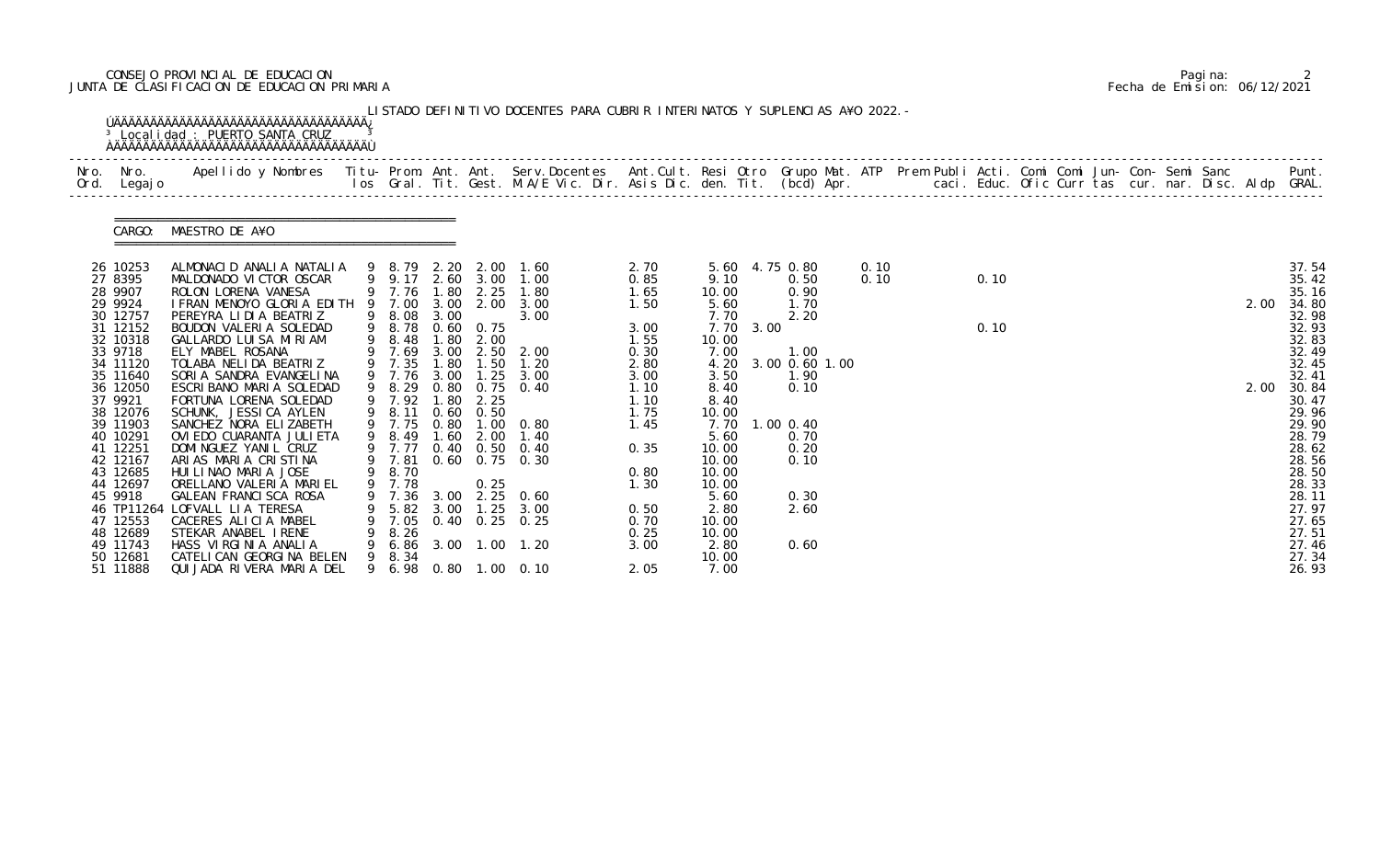# CONSEJO PROVINCIAL DE EDUCACION Pagina: 2 JUNTA DE CLASIFICACION DE EDUCACION PRIMARIA Fecha de Emision: 06/12/2021

|      |                                                                                                                                                                                                                                                                                                                  | <sup>3</sup> Localidad : PUERTO SANTA CRUZ                                                                                                                                                                                                                                                                                                                                                                                                                                                                                                                                                                                                                                                   |   |                                                                                                                                                                                                                                   |                                                                   |                                                                                | LISTADO DEFINITIVO DOCENTES PARA CUBRIR INTERINATOS Y SUPLENCIAS A¥O 2022. -                                                                                                                                                                                                           |                                                                                                                                                                      |                                                                                                                                                                                                        |           |                                                                                                                                                            |              |              |  |  |  |              |                                                                                                                                                                                                                                        |
|------|------------------------------------------------------------------------------------------------------------------------------------------------------------------------------------------------------------------------------------------------------------------------------------------------------------------|----------------------------------------------------------------------------------------------------------------------------------------------------------------------------------------------------------------------------------------------------------------------------------------------------------------------------------------------------------------------------------------------------------------------------------------------------------------------------------------------------------------------------------------------------------------------------------------------------------------------------------------------------------------------------------------------|---|-----------------------------------------------------------------------------------------------------------------------------------------------------------------------------------------------------------------------------------|-------------------------------------------------------------------|--------------------------------------------------------------------------------|----------------------------------------------------------------------------------------------------------------------------------------------------------------------------------------------------------------------------------------------------------------------------------------|----------------------------------------------------------------------------------------------------------------------------------------------------------------------|--------------------------------------------------------------------------------------------------------------------------------------------------------------------------------------------------------|-----------|------------------------------------------------------------------------------------------------------------------------------------------------------------|--------------|--------------|--|--|--|--------------|----------------------------------------------------------------------------------------------------------------------------------------------------------------------------------------------------------------------------------------|
| Nro. | Nro. In the Nro.<br>Ord. Legajo                                                                                                                                                                                                                                                                                  | Apellido y Nombres  Titu- Prom. Ant. Ant.  Serv.Docentes  Ant.Cult. Resi Otro  Grupo Mat. ATP  Prem Publi Acti. Comi Comi Jun- Con- Semi Sanc              Punt.<br>Ios Gral. Tit. Gest. M.A/E Vic. Dir. Asis Dic. den. Tit. (bcd                                                                                                                                                                                                                                                                                                                                                                                                                                                            |   |                                                                                                                                                                                                                                   |                                                                   |                                                                                |                                                                                                                                                                                                                                                                                        |                                                                                                                                                                      |                                                                                                                                                                                                        |           |                                                                                                                                                            |              |              |  |  |  |              |                                                                                                                                                                                                                                        |
|      | CARGO:                                                                                                                                                                                                                                                                                                           | MAESTRO DE A¥O                                                                                                                                                                                                                                                                                                                                                                                                                                                                                                                                                                                                                                                                               |   |                                                                                                                                                                                                                                   |                                                                   |                                                                                |                                                                                                                                                                                                                                                                                        |                                                                                                                                                                      |                                                                                                                                                                                                        |           |                                                                                                                                                            |              |              |  |  |  |              |                                                                                                                                                                                                                                        |
|      | 26 10253<br>27 8395<br>28 9907<br>29 9924<br>30 12757<br>31 12152<br>32 10318<br>33 9718<br>34 11120<br>35 11640<br>36 12050<br>37 9921<br>38 12076<br>39 11903<br>40 10291<br>41 12251<br>42 12167<br>43 12685<br>44 12697<br>45 9918<br>46 TP11264<br>47 12553<br>48 12689<br>49 11743<br>50 12681<br>51 11888 | ALMONACID ANALIA NATALIA<br>MALDONADO VICTOR OSCAR<br>ROLON LORENA VANESA<br>I FRAN MENOYO GLORIA EDITH 9 7.00<br>PEREYRA LIDIA BEATRIZ<br>BOUDON VALERIA SOLEDAD<br>GALLARDO LUISA MIRIAM<br>ELY MABEL ROSANA<br>TOLABA NELIDA BEATRIZ<br>SORIA SANDRA EVANGELINA<br>ESCRIBANO MARIA SOLEDAD<br>FORTUNA LORENA SOLEDAD<br>SCHUNK, JESSICA AYLEN<br>SANCHEZ NORA ELIZABETH<br>OVI EDO CUARANTA JULI ETA<br>DOMINGUEZ YANIL CRUZ<br>ARIAS MARIA CRISTINA<br>HUI LI NAO MARI A JOSE<br>ORELLANO VALERIA MARIEL<br>GALEAN FRANCISCA ROSA<br>LOFVALL LIA TERESA<br>CACERES ALICIA MABEL<br>STEKAR ANABEL IRENE<br>HASS VIRGINIA ANALIA<br>CATELI CAN GEORGI NA BELEN<br>QUIJADA RIVERA MARIA DEL | 9 | 9 9.17 2.60 3.00<br>9 7.76 1.80<br>9 8.08<br>9 8.78<br>9 8.48<br>9 7.69<br>9 7.35<br>9 7.76<br>9 8.29<br>9 7.92<br>9 8.11 0.60 0.50<br>9 7.75<br>9 8.49<br>9 7.77<br>9 7.81<br>9 8.70<br>9 7.78<br>7.36<br>7.05<br>8.26<br>9 8.34 | 3.00<br>1.80<br>1.80<br>3.00<br>1.80<br>1.60<br>3.00<br>5.82 3.00 | 2.25<br>3.00 2.00<br>$0.60 \quad 0.75$<br>2.00<br>1.50<br>2.25<br>2.00<br>0.25 | 9 8.79 2.20 2.00 1.60<br>1.00<br>1.80<br>3.00<br>3.00<br>3.00 2.50 2.00<br>1.20<br>$1.25$ $3.00$<br>0.80 0.75 0.40<br>0.80 1.00 0.80<br>1.40<br>0.40 0.50 0.40<br>0.60 0.75 0.30<br>2.25 0.60<br>$1.25$ $3.00$<br>$0.40$ $0.25$ $0.25$<br>6.86 3.00 1.00 1.20<br>9 6.98 0.80 1.00 0.10 | 2.70<br>0.85<br>1.65<br>1.50<br>3.00<br>1.55<br>0.30<br>2.80<br>3.00<br>1.10<br>1.10<br>1.75<br>1.45<br>0.35<br>0.80<br>1.30<br>0.50<br>0.70<br>0.25<br>3.00<br>2.05 | 9.10<br>10.00<br>5.60<br>7.70<br>10.00<br>7.00<br>4.20<br>3.50<br>8.40<br>8.40<br>10.00<br>7.70<br>5.60<br>10.00<br>10.00<br>10.00<br>10.00<br>5.60<br>2.80<br>10.00<br>10.00<br>2.80<br>10.00<br>7.00 | 7.70 3.00 | 5.60 4.75 0.80<br>0.50<br>0.90<br>1.70<br>2.20<br>1.00<br>3.00 0.60 1.00<br>1.90<br>0.10<br>$1.00 \, 0.40$<br>0.70<br>0.20<br>0.10<br>0.30<br>2.60<br>0.60 | 0.10<br>0.10 | 0.10<br>0.10 |  |  |  | 2.00<br>2.00 | 37.54<br>35.42<br>35.16<br>34.80<br>32.98<br>32.93<br>32.83<br>32.49<br>32.45<br>32.41<br>30.84<br>30.47<br>29.96<br>29.90<br>28.79<br>28.62<br>28.56<br>28.50<br>28.33<br>28.11<br>27.97<br>27.65<br>27.51<br>27.46<br>27.34<br>26.93 |

|  | Pagi na: |                              |
|--|----------|------------------------------|
|  |          | Fecha de Emision: 06/12/2021 |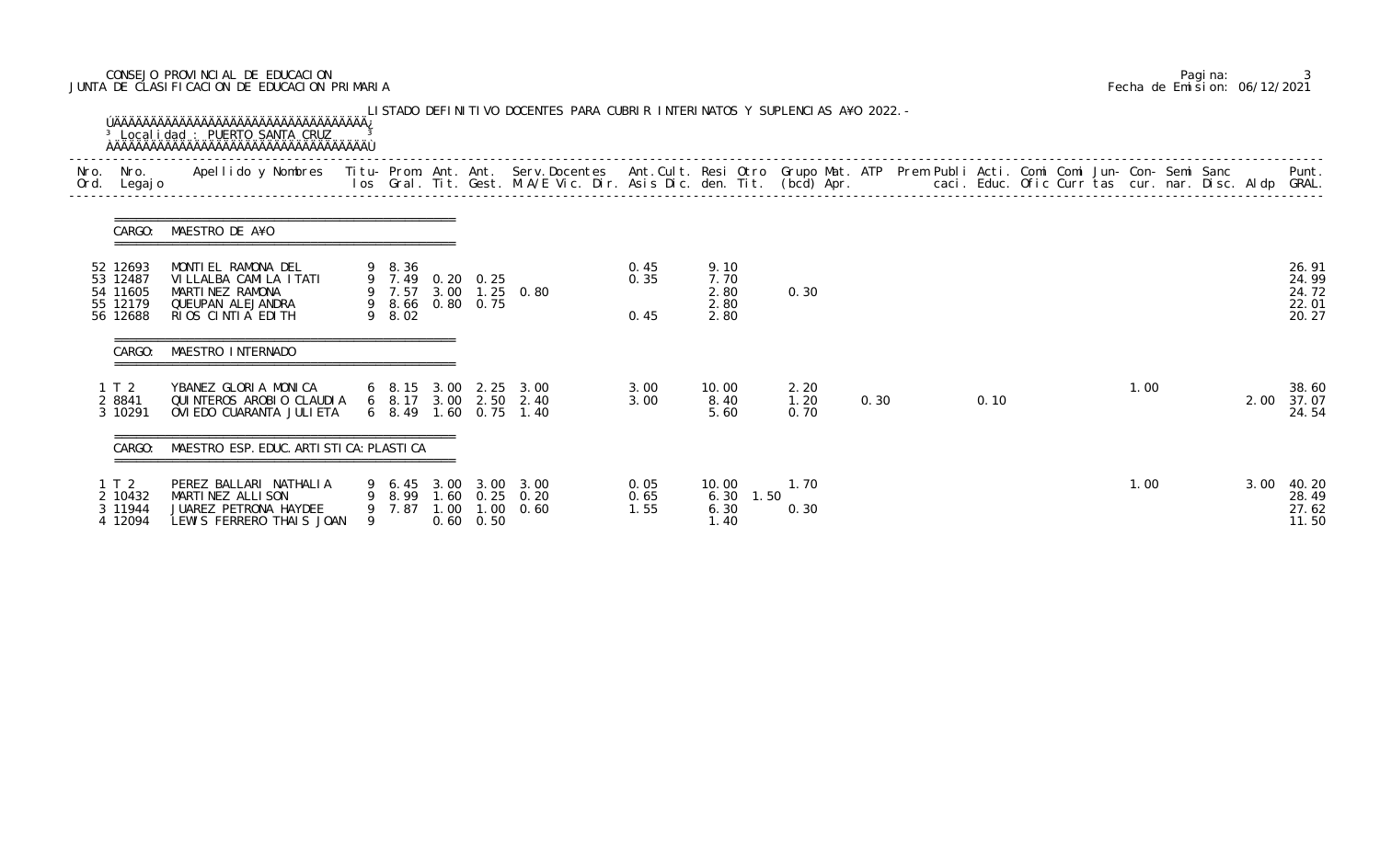# CONSEJO PROVINCIAL DE EDUCACION Pagina: 3 JUNTA DE CLASIFICACION DE EDUCACION PRIMARIA Fecha de Emision: 06/12/2021

| Nro.<br>Ord. | Nro.<br>Legaj o                              | Apellido y Nombres - Titu- Prom. Ant. Ant. Serv.Docentes - Ant.Cult. Resi Otro Grupo Mat. ATP Prem Publi Acti. Comi Comi Jun- Con- Semi Sanc - - - Punt.<br>Ios Gral. Tit. Gest. M.A/E Vic. Dir. Asis Dic. den. Tit. (bcd) Apr. - |   |                                                |                   |                                                                         |                      |                                      |                      |      |      |  |      |      |                                  |
|--------------|----------------------------------------------|-----------------------------------------------------------------------------------------------------------------------------------------------------------------------------------------------------------------------------------|---|------------------------------------------------|-------------------|-------------------------------------------------------------------------|----------------------|--------------------------------------|----------------------|------|------|--|------|------|----------------------------------|
|              |                                              | CARGO: MAESTRO DE A¥O                                                                                                                                                                                                             |   |                                                |                   |                                                                         |                      |                                      |                      |      |      |  |      |      |                                  |
|              | 52 12693<br>53 12487<br>54 11605<br>55 12179 | MONTIEL RAMONA DEL<br>VILLALBA CAMILA ITATI<br>MARTINEZ RAMONA<br>QUEUPAN ALEJANDRA                                                                                                                                               |   | 9 8.36<br>9 7.49 0.20 0.25<br>9 8.66 0.80 0.75 |                   | 9 7.57 3.00 1.25 0.80                                                   | 0.45<br>0.35         | 9.10<br>7.70<br>2.80<br>2.80         | 0.30                 |      |      |  |      |      | 26.91<br>24.99<br>24.72<br>22.01 |
|              | 56 12688                                     | RIOS CINTIA EDITH                                                                                                                                                                                                                 |   | 9 8.02                                         |                   |                                                                         | 0.45                 | 2.80                                 |                      |      |      |  |      |      | 20.27                            |
|              | CARGO:                                       | MAESTRO INTERNADO                                                                                                                                                                                                                 |   |                                                |                   |                                                                         |                      |                                      |                      |      |      |  |      |      |                                  |
|              | 1 T 2<br>2 8841<br>3 10291                   | YBANEZ GLORIA MONICA<br>QUINTEROS AROBIO CLAUDIA<br>OVI EDO CUARANTA JULI ETA                                                                                                                                                     |   |                                                |                   | 6 8.15 3.00 2.25 3.00<br>6 8.17 3.00 2.50 2.40<br>6 8.49 1.60 0.75 1.40 | 3.00<br>3.00         | 10.00<br>8.40<br>5.60                | 2.20<br>1.20<br>0.70 | 0.30 | 0.10 |  | 1.00 | 2.00 | 38.60<br>37.07<br>24.54          |
|              | CARGO:                                       | MAESTRO ESP. EDUC. ARTI STI CA: PLASTI CA                                                                                                                                                                                         |   |                                                |                   |                                                                         |                      |                                      |                      |      |      |  |      |      |                                  |
|              | 1T2<br>2 10432<br>3 11944<br>4 12094         | PEREZ BALLARI NATHALIA<br>MARTINEZ ALLISON<br>JUAREZ PETRONA HAYDEE<br>LEWIS FERRERO THAIS JOAN                                                                                                                                   | 9 | 9 7.87 1.00                                    | $0.60 \quad 0.50$ | 9 6.45 3.00 3.00 3.00<br>9 8.99 1.60 0.25 0.20<br>$1.00 \quad 0.60$     | 0.05<br>0.65<br>1.55 | 10.00<br>$6.30$ 1.50<br>6.30<br>1.40 | 1.70<br>0.30         |      |      |  | 1.00 | 3.00 | 40.20<br>28.49<br>27.62<br>11.50 |

|  | Pagi na: |                              |
|--|----------|------------------------------|
|  |          | Fecha de Emision: 06/12/2021 |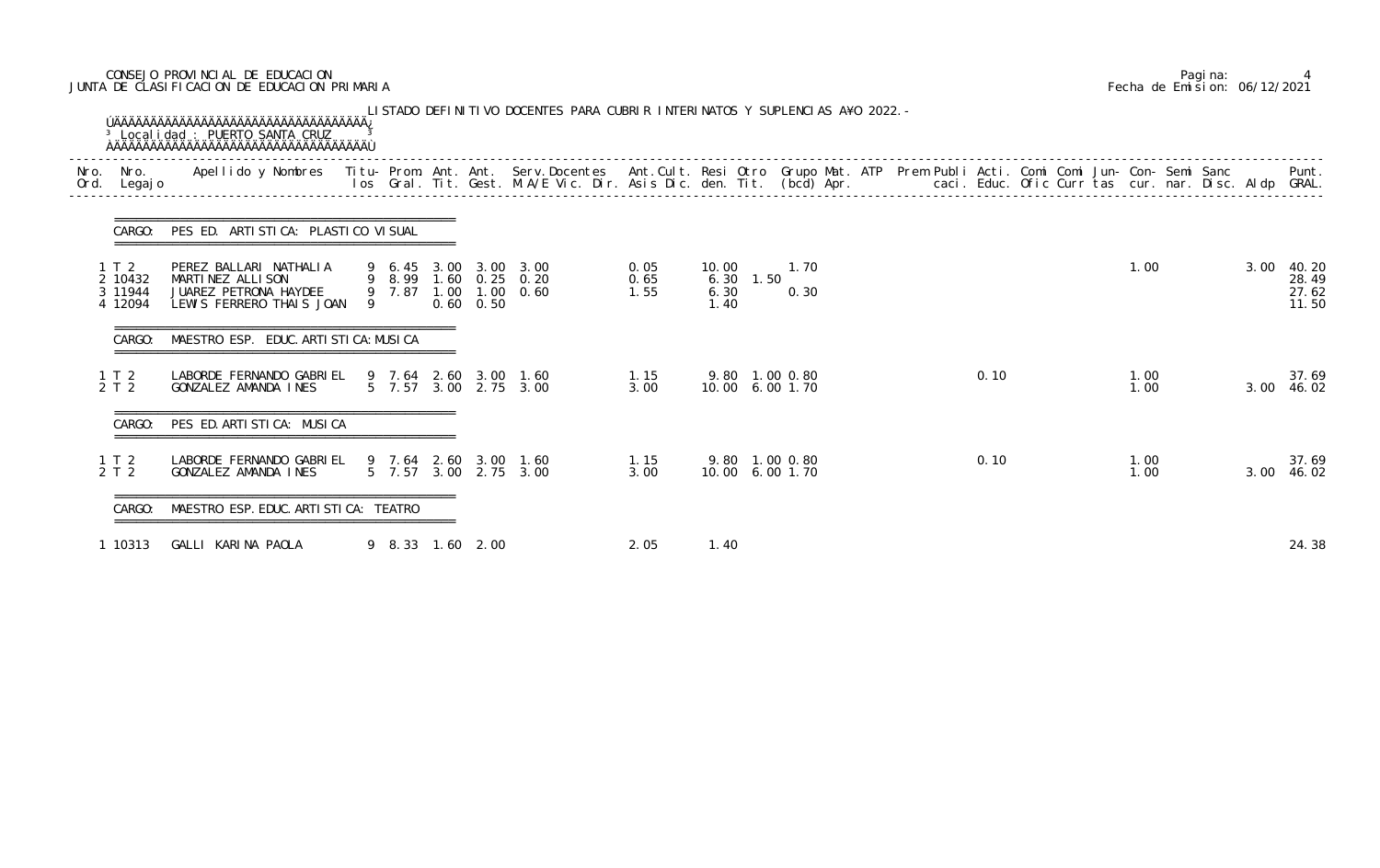# CONSEJO PROVINCIAL DE EDUCACION Pagina: 4 JUNTA DE CLASIFICACION DE EDUCACION PRIMARIA Fecha de Emision: 06/12/2021

| Nro.<br>Ord. | Nro.<br>Legaj o                      | Apellido y Nombres - Titu- Prom. Ant. Ant. Serv.Docentes - Ant.Cult. Resi Otro Grupo Mat. ATP Prem Publi Acti. Comi Comi Jun- Con- Semi Sanc - - - Punt.<br>Ios Gral. Tit. Gest. M.A/E Vic. Dir. Asis Dic. den. Tit. (bcd) Apr. - |   |  |                   |                                                                         |                      |                                    |              |  |      |  |              |      |                                  |
|--------------|--------------------------------------|-----------------------------------------------------------------------------------------------------------------------------------------------------------------------------------------------------------------------------------|---|--|-------------------|-------------------------------------------------------------------------|----------------------|------------------------------------|--------------|--|------|--|--------------|------|----------------------------------|
|              | CARGO:                               | PES ED. ARTISTICA: PLASTICO VISUAL                                                                                                                                                                                                |   |  |                   |                                                                         |                      |                                    |              |  |      |  |              |      |                                  |
|              | 1T2<br>2 10432<br>3 11944<br>4 12094 | PEREZ BALLARI NATHALIA<br>MARTINEZ ALLISON<br>JUAREZ PETRONA HAYDEE<br>LEWIS FERRERO THAIS JOAN                                                                                                                                   | 9 |  | $0.60 \quad 0.50$ | 9 6.45 3.00 3.00 3.00<br>9 8.99 1.60 0.25 0.20<br>9 7.87 1.00 1.00 0.60 | 0.05<br>0.65<br>1.55 | 10.00<br>6.30 1.50<br>6.30<br>1.40 | 1.70<br>0.30 |  |      |  | 1.00         | 3.00 | 40.20<br>28.49<br>27.62<br>11.50 |
|              |                                      | MAESTRO ESP. EDUC. ARTI STI CA: MUSI CA                                                                                                                                                                                           |   |  |                   |                                                                         |                      |                                    |              |  |      |  |              |      |                                  |
|              | 1 T 2<br>2 T 2                       | LABORDE FERNANDO GABRIEL<br>GONZALEZ AMANDA INES                                                                                                                                                                                  |   |  |                   | 9 7.64 2.60 3.00 1.60<br>5 7.57 3.00 2.75 3.00                          | 1.15<br>3.00         | 9.80 1.00 0.80<br>10.00 6.00 1.70  |              |  | 0.10 |  | 1.00<br>1.00 | 3.00 | 37.69<br>46.02                   |
|              | CARGO:                               | PES ED. ARTI STI CA: MUSI CA                                                                                                                                                                                                      |   |  |                   |                                                                         |                      |                                    |              |  |      |  |              |      |                                  |
|              | $1 \t12$<br>2 T 2                    | LABORDE FERNANDO GABRIEL<br>GONZALEZ AMANDA INES                                                                                                                                                                                  |   |  |                   | 9 7.64 2.60 3.00 1.60<br>5 7.57 3.00 2.75 3.00                          | 1.15<br>3.00         | 9.80 1.00 0.80<br>10.00 6.00 1.70  |              |  | 0.10 |  | 1.00<br>1.00 | 3.00 | 37.69<br>46.02                   |
|              | CARGO:                               | MAESTRO ESP. EDUC. ARTI STI CA: TEATRO                                                                                                                                                                                            |   |  |                   |                                                                         |                      |                                    |              |  |      |  |              |      |                                  |
|              | 1 10313                              | GALLI KARINA PAOLA                                                                                                                                                                                                                |   |  | 9 8.33 1.60 2.00  |                                                                         | 2.05                 | 1.40                               |              |  |      |  |              |      | 24.38                            |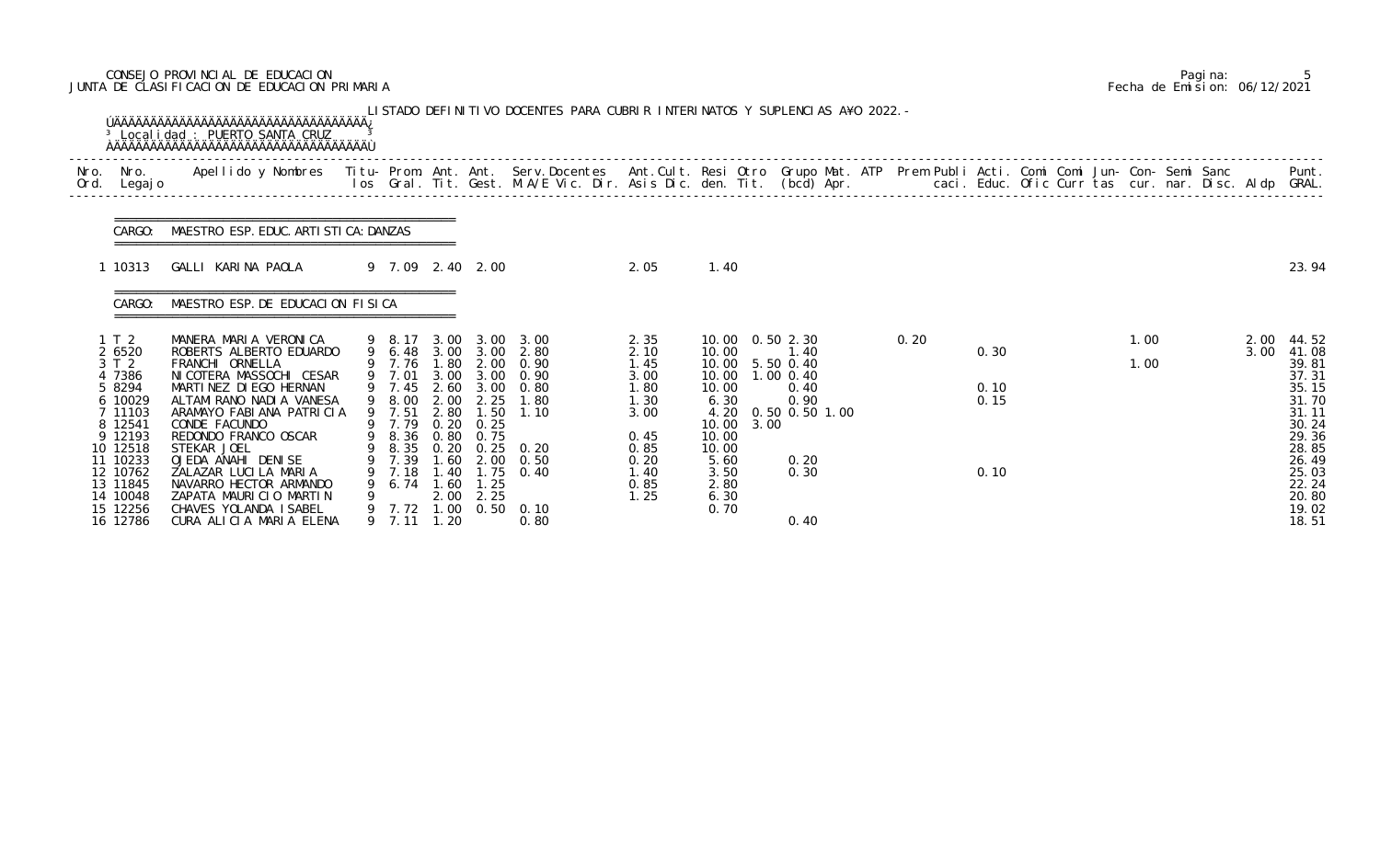# CONSEJO PROVINCIAL DE EDUCACION Pagina: 5 JUNTA DE CLASIFICACION DE EDUCACION PRIMARIA Fecha de Emision: 06/12/2021

|      |                                                                                                                                                                              |                                                                                                                                                                                                                                                                                                                                                                                                 |                                                                                                                                  |                              |                                                           | LISTADO DEFINITIVO DOCENTES PARA CUBRIR INTERINATOS Y SUPLENCIAS A¥O 2022. –                                                                                                                                  |                                                                                                      |                                                                                                                                                              |                                                      |                |      |                              |  |              |              |                                                                                                                                              |
|------|------------------------------------------------------------------------------------------------------------------------------------------------------------------------------|-------------------------------------------------------------------------------------------------------------------------------------------------------------------------------------------------------------------------------------------------------------------------------------------------------------------------------------------------------------------------------------------------|----------------------------------------------------------------------------------------------------------------------------------|------------------------------|-----------------------------------------------------------|---------------------------------------------------------------------------------------------------------------------------------------------------------------------------------------------------------------|------------------------------------------------------------------------------------------------------|--------------------------------------------------------------------------------------------------------------------------------------------------------------|------------------------------------------------------|----------------|------|------------------------------|--|--------------|--------------|----------------------------------------------------------------------------------------------------------------------------------------------|
| Ord. | Nro. Nro.<br>Legaj o                                                                                                                                                         | Apellido y Nombres Titu- Prom. Ant. Ant. Serv.Docentes Ant.Cult. Resi Otro Grupo Mat. ATP Prem Publi Acti. Comi Comi Jun- Con- Semi Sanc Punt.<br>Ios Gral. Tit. Gest. M.A/E Vic. Dir. Asis Dic. den. Tit. (bcd) Apr.                                                                                                                                                                           |                                                                                                                                  |                              |                                                           |                                                                                                                                                                                                               |                                                                                                      |                                                                                                                                                              |                                                      |                |      |                              |  |              |              | Punt.                                                                                                                                        |
|      | CARGO:                                                                                                                                                                       | MAESTRO ESP. EDUC. ARTI STI CA: DANZAS                                                                                                                                                                                                                                                                                                                                                          |                                                                                                                                  |                              |                                                           |                                                                                                                                                                                                               |                                                                                                      |                                                                                                                                                              |                                                      |                |      |                              |  |              |              |                                                                                                                                              |
|      | 1 10313                                                                                                                                                                      | GALLI KARINA PAOLA                                                                                                                                                                                                                                                                                                                                                                              | 9 7.09 2.40 2.00                                                                                                                 |                              |                                                           |                                                                                                                                                                                                               | 2.05                                                                                                 | 1.40                                                                                                                                                         |                                                      |                |      |                              |  |              |              | 23.94                                                                                                                                        |
|      | CARGO:                                                                                                                                                                       | MAESTRO ESP. DE EDUCACION FISICA                                                                                                                                                                                                                                                                                                                                                                |                                                                                                                                  |                              |                                                           |                                                                                                                                                                                                               |                                                                                                      |                                                                                                                                                              |                                                      |                |      |                              |  |              |              |                                                                                                                                              |
|      | 1 T 2<br>2 6520<br>3 T 2<br>4 7386<br>5 8294<br>6 10029<br>7 11103<br>8 12541<br>9 12193<br>10 12518<br>11 10233<br>12 10762<br>13 11845<br>14 10048<br>15 12256<br>16 12786 | MANERA MARIA VERONICA<br>ROBERTS ALBERTO EDUARDO<br>FRANCHI ORNELLA<br>NI COTERA MASSOCHI CESAR<br>MARTINEZ DIEGO HERNAN<br>ALTAMI RANO NADI A VANESA<br>ARAMAYO FABIANA PATRICIA<br>CONDE FACUNDO<br>REDONDO FRANCO OSCAR<br>STEKAR JOEL<br>OJEDA ANAHI DENISE<br>ZALAZAR LUCILA MARIA<br>NAVARRO HECTOR ARMANDO<br>ZAPATA MAURICIO MARTIN<br>CHAVES YOLANDA ISABEL<br>CURA ALICIA MARIA ELENA | 9 7.76 1.80<br>9 7.01<br>$9$ 7.45<br>9 8.00<br>9 7.51<br>9 7.79<br>9 8.36<br>9 7.39<br>9 7.18<br>9 6.74 1.60<br>9<br>9 7.11 1.20 | 2.00<br>2.80<br>0.80<br>2.00 | 2.25<br>1.50<br>$0.20 \quad 0.25$<br>0.75<br>1.25<br>2.25 | 9 8.17 3.00 3.00 3.00<br>9 6.48 3.00 3.00 2.80<br>2.00 0.90<br>3.00 3.00 0.90<br>2.60 3.00 0.80<br>1.80<br>1.10<br>9 8.35 0.20 0.25 0.20<br>1.60 2.00 0.50<br>1.40 1.75 0.40<br>9 7.72 1.00 0.50 0.10<br>0.80 | 2.35<br>2.10<br>1.45<br>3.00<br>1.80<br>1.30<br>3.00<br>0.45<br>0.85<br>0.20<br>1.40<br>0.85<br>1.25 | 10.00  0.50  2.30<br>10.00<br>10.00 5.50 0.40<br>10.00 1.00 0.40<br>10.00<br>6.30<br>4.20<br>10.00<br>10.00<br>10.00<br>5.60<br>3.50<br>2.80<br>6.30<br>0.70 | 1.40<br>0.40<br>0.90<br>3.00<br>0.20<br>0.30<br>0.40 | 0.50 0.50 1.00 | 0.20 | 0.30<br>0.10<br>0.15<br>0.10 |  | 1.00<br>1.00 | 2.00<br>3.00 | 44.52<br>41.08<br>39.81<br>37.31<br>35.15<br>31.70<br>31.11<br>30.24<br>29.36<br>28.85<br>26.49<br>25.03<br>22.24<br>20.80<br>19.02<br>18.51 |

|  | Pagi na: |                              |
|--|----------|------------------------------|
|  |          | Fecha de Emision: 06/12/2021 |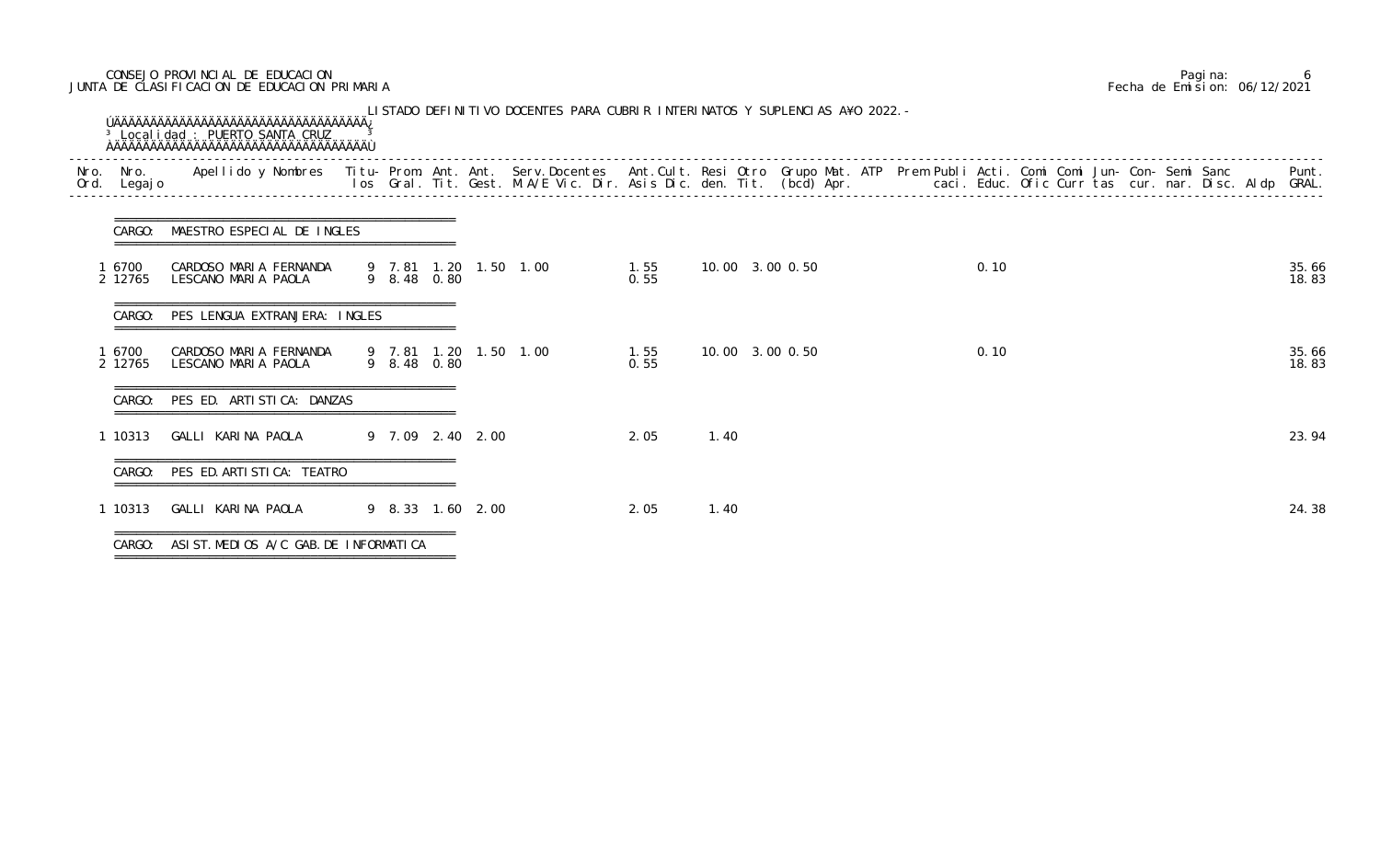# CONSEJO PROVINCIAL DE EDUCACION Pagina: 6 JUNTA DE CLASIFICACION DE EDUCACION PRIMARIA Fecha de Emision: 06/12/2021

| CARGO:<br>6700<br>2 12765<br>CARGO:<br>6700 | =================================<br>MAESTRO ESPECIAL DE INGLES<br>CARDOSO MARIA FERNANDA<br>LESCANO MARIA PAOLA<br>PES LENGUA EXTRANJERA: INGLES |                                          | 9 8.48 0.80                                              |                                       | 1.55<br>9 7.81 1.20 1.50 1.00 | 0.55                                 |      | 10.00 3.00 0.50 |  | 0.10 |  |  |                |
|---------------------------------------------|---------------------------------------------------------------------------------------------------------------------------------------------------|------------------------------------------|----------------------------------------------------------|---------------------------------------|-------------------------------|--------------------------------------|------|-----------------|--|------|--|--|----------------|
|                                             |                                                                                                                                                   |                                          |                                                          |                                       |                               |                                      |      |                 |  |      |  |  | 35.66          |
|                                             |                                                                                                                                                   |                                          |                                                          |                                       |                               |                                      |      |                 |  |      |  |  | 18.83          |
|                                             |                                                                                                                                                   |                                          |                                                          |                                       |                               |                                      |      |                 |  |      |  |  |                |
| 2 12765                                     | CARDOSO MARIA FERNANDA<br>LESCANO MARIA PAOLA                                                                                                     |                                          | 9 8.48 0.80                                              |                                       | 9 7.81 1.20 1.50 1.00         | 1.55<br>0.55                         |      | 10.00 3.00 0.50 |  | 0.10 |  |  | 35.66<br>18.83 |
| CARGO:                                      |                                                                                                                                                   |                                          |                                                          |                                       |                               |                                      |      |                 |  |      |  |  |                |
| 1 10313                                     |                                                                                                                                                   |                                          |                                                          |                                       |                               | 2.05                                 | 1.40 |                 |  |      |  |  | 23.94          |
| CARGO:                                      |                                                                                                                                                   |                                          |                                                          |                                       |                               |                                      |      |                 |  |      |  |  |                |
| 1 10313                                     |                                                                                                                                                   |                                          |                                                          |                                       |                               | 2.05                                 | 1.40 |                 |  |      |  |  | 24.38          |
|                                             | CARGO:                                                                                                                                            | GALLI KARINA PAOLA<br>GALLI KARINA PAOLA | PES ED. ARTISTICA: DANZAS<br>PES ED. ARTI STI CA: TEATRO | ASIST. MEDIOS A/C GAB. DE INFORMATICA |                               | 9 7.09 2.40 2.00<br>9 8.33 1.60 2.00 |      |                 |  |      |  |  |                |

|  | Pagi na: |                              |
|--|----------|------------------------------|
|  |          | Fecha de Emision: 06/12/2021 |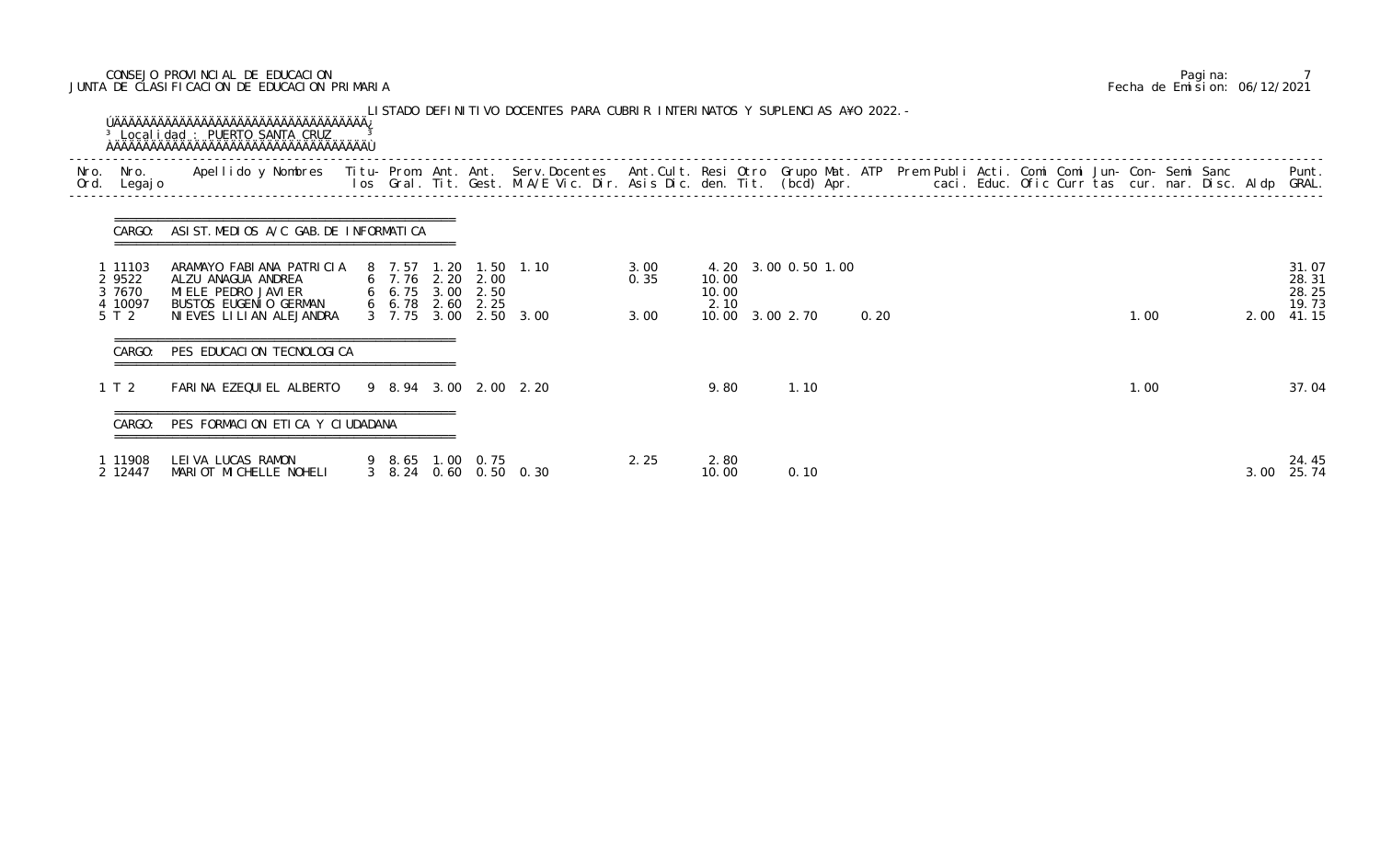# CONSEJO PROVINCIAL DE EDUCACION Pagina: 7 JUNTA DE CLASIFICACION DE EDUCACION PRIMARIA Fecha de Emision: 06/12/2021

| Nro.<br>Ord. | Nro.<br>Legaj o                                 | Apellido y Nombres - Titu- Prom. Ant. Ant. Serv.Docentes - Ant.Cult. Resi Otro Grupo Mat. ATP Prem Publi Acti. Comi Comi Jun- Con- Semi Sanc - - - Punt.<br>Ios Gral. Tit. Gest. M.A/E Vic. Dir. Asis Dic. den. Tit. (bcd) Apr. - |                                                                   |      |                                         |                      |                        |                                        |      |  |  |      |      |                                           |
|--------------|-------------------------------------------------|-----------------------------------------------------------------------------------------------------------------------------------------------------------------------------------------------------------------------------------|-------------------------------------------------------------------|------|-----------------------------------------|----------------------|------------------------|----------------------------------------|------|--|--|------|------|-------------------------------------------|
|              | CARGO:                                          | ASIST. MEDIOS A/C GAB. DE INFORMATICA<br>====================================                                                                                                                                                     |                                                                   |      |                                         |                      |                        |                                        |      |  |  |      |      |                                           |
|              | 1 11103<br>2 9522<br>3 7670<br>4 10097<br>5 T 2 | ARAMAYO FABIANA PATRICIA<br>ALZU ANAGUA ANDREA<br>MI ELE PEDRO JAVI ER<br>BUSTOS EUGENIO GERMAN<br>NI EVES LI LI AN ALEJANDRA                                                                                                     | 8 7.57<br>6 7.76 2.20 2.00<br>6 6.75 3.00 2.50<br>6, 6, 78, 2, 60 | 2.25 | 1.20 1.50 1.10<br>3 7.75 3.00 2.50 3.00 | 3.00<br>0.35<br>3.00 | 10.00<br>10.00<br>2.10 | 4.20 3.00 0.50 1.00<br>10.00 3.00 2.70 | 0.20 |  |  | 1.00 | 2.00 | 31.07<br>28.31<br>28.25<br>19.73<br>41.15 |
|              | CARGO:                                          | PES EDUCACION TECNOLOGICA                                                                                                                                                                                                         |                                                                   |      |                                         |                      |                        |                                        |      |  |  |      |      |                                           |
|              | 1 T 2                                           | FARINA EZEQUIEL ALBERTO                                                                                                                                                                                                           |                                                                   |      | 9 8.94 3.00 2.00 2.20                   |                      | 9.80                   | 1.10                                   |      |  |  | 1.00 |      | 37.04                                     |
|              | CARGO:                                          | PES FORMACION ETICA Y CIUDADANA                                                                                                                                                                                                   |                                                                   |      |                                         |                      |                        |                                        |      |  |  |      |      |                                           |
|              | 1 11908<br>2 12447                              | LEI VA LUCAS RAMON<br>MARIOT MICHELLE NOHELI                                                                                                                                                                                      | 9 8.65 1.00 0.75                                                  |      | 3 8.24 0.60 0.50 0.30                   | 2.25                 | 2.80<br>10.00          | 0.10                                   |      |  |  |      | 3.00 | 24.45<br>25.74                            |

|  | Pagi na: |                              |
|--|----------|------------------------------|
|  |          | Fecha de Emision: 06/12/2021 |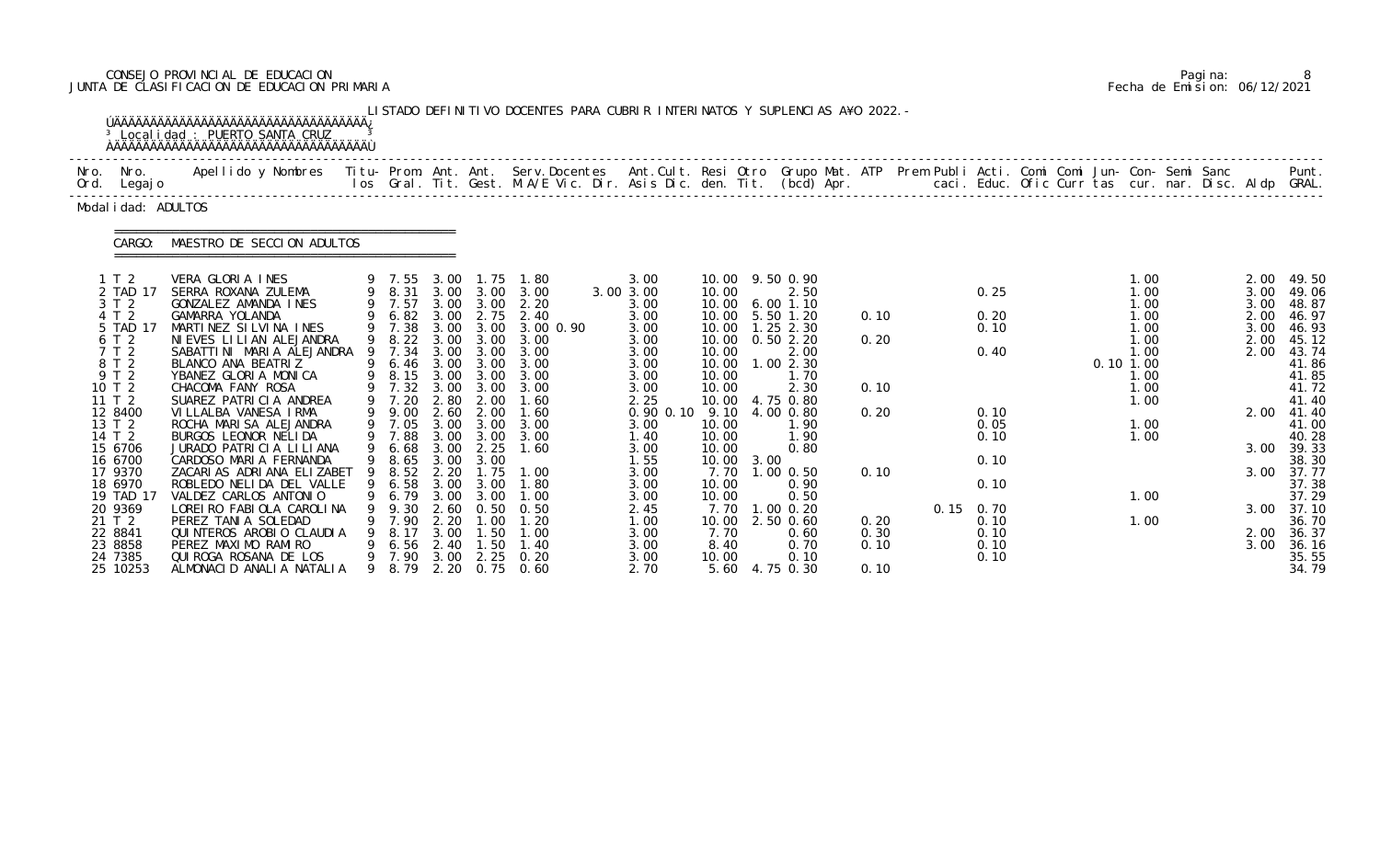# CONSEJO PROVINCIAL DE EDUCACION Pagina: 8 JUNTA DE CLASIFICACION DE EDUCACION PRIMARIA Fecha de Emision: 06/12/2021

|      |                                                                                                                                                                                                                                                                 | <sup>3</sup> Localidad : PUERTO SANTA CRUZ                                                                                                                                                                                                                                                                                                                                                                                                                                                                                                                                                                                                          |        |                                                                                                                                                                                                                                       |                                                                                                                              |                                                                                                                                                                                                                                  | LISTADO DEFINITIVO DOCENTES PARA CUBRIR INTERINATOS Y SUPLENCIAS A¥O 2022. -                                                                                                                                                                  |                                                                                                                                                                                                                           |                                                                                                                                                     |      |                                                                                                                                                                                                                                                                                                |                                                                      |                                                                                                                           |  |                                                                                                                          |  |                                                                                              |                                                                                                                                                                                                                                    |
|------|-----------------------------------------------------------------------------------------------------------------------------------------------------------------------------------------------------------------------------------------------------------------|-----------------------------------------------------------------------------------------------------------------------------------------------------------------------------------------------------------------------------------------------------------------------------------------------------------------------------------------------------------------------------------------------------------------------------------------------------------------------------------------------------------------------------------------------------------------------------------------------------------------------------------------------------|--------|---------------------------------------------------------------------------------------------------------------------------------------------------------------------------------------------------------------------------------------|------------------------------------------------------------------------------------------------------------------------------|----------------------------------------------------------------------------------------------------------------------------------------------------------------------------------------------------------------------------------|-----------------------------------------------------------------------------------------------------------------------------------------------------------------------------------------------------------------------------------------------|---------------------------------------------------------------------------------------------------------------------------------------------------------------------------------------------------------------------------|-----------------------------------------------------------------------------------------------------------------------------------------------------|------|------------------------------------------------------------------------------------------------------------------------------------------------------------------------------------------------------------------------------------------------------------------------------------------------|----------------------------------------------------------------------|---------------------------------------------------------------------------------------------------------------------------|--|--------------------------------------------------------------------------------------------------------------------------|--|----------------------------------------------------------------------------------------------|------------------------------------------------------------------------------------------------------------------------------------------------------------------------------------------------------------------------------------|
| Nro. | Nro.<br>Ord. Legajo                                                                                                                                                                                                                                             | Apellido y Nombres - Titu- Prom. Ant. Ant. Serv.Docentes - Ant.Cult. Resi Otro Grupo Mat. ATP - Prem Publi Acti. Comi Comi Jun- Con- Semi Sanc                                                                                                                                                                                                                                                                                                                                                                                                                                                                                                      |        |                                                                                                                                                                                                                                       |                                                                                                                              |                                                                                                                                                                                                                                  | los Gral. Tit. Gest. M.A/E Vic. Dir. Asis Dic. den. Tit. (bcd) Apr.        caci. Educ. Ofic Curr tas cur. nar. Disc. Aldp GRAL.                                                                                                               |                                                                                                                                                                                                                           |                                                                                                                                                     |      |                                                                                                                                                                                                                                                                                                |                                                                      |                                                                                                                           |  |                                                                                                                          |  |                                                                                              | Punt.                                                                                                                                                                                                                              |
|      | Modal i dad: ADULTOS                                                                                                                                                                                                                                            |                                                                                                                                                                                                                                                                                                                                                                                                                                                                                                                                                                                                                                                     |        |                                                                                                                                                                                                                                       |                                                                                                                              |                                                                                                                                                                                                                                  |                                                                                                                                                                                                                                               |                                                                                                                                                                                                                           |                                                                                                                                                     |      |                                                                                                                                                                                                                                                                                                |                                                                      |                                                                                                                           |  |                                                                                                                          |  |                                                                                              |                                                                                                                                                                                                                                    |
|      | CARGO:                                                                                                                                                                                                                                                          | MAESTRO DE SECCION ADULTOS                                                                                                                                                                                                                                                                                                                                                                                                                                                                                                                                                                                                                          |        |                                                                                                                                                                                                                                       |                                                                                                                              |                                                                                                                                                                                                                                  |                                                                                                                                                                                                                                               |                                                                                                                                                                                                                           |                                                                                                                                                     |      |                                                                                                                                                                                                                                                                                                |                                                                      |                                                                                                                           |  |                                                                                                                          |  |                                                                                              |                                                                                                                                                                                                                                    |
|      | 1 T 2<br>2 TAD 17<br>3 T 2<br>4 T 2<br>5 TAD 17<br>6 T 2<br>7 T 2<br>8 T 2<br>9 T 2<br>10 T 2<br>11T2<br>12 8400<br>13 T 2<br>14 T 2<br>15 6706<br>16 6700<br>17 9370<br>18 6970<br>19 TAD 17<br>20 9369<br>21 T 2<br>22 8841<br>23 8858<br>24 7385<br>25 10253 | VERA GLORIA INES<br>SERRA ROXANA ZULEMA<br>GONZALEZ AMANDA INES<br>GAMARRA YOLANDA<br>MARTINEZ SILVINA INES<br>NI EVES LI LI AN ALEJANDRA<br>SABATTINI MARIA ALEJANDRA<br>BLANCO ANA BEATRIZ<br>YBANEZ GLORIA MONICA<br>CHACOMA FANY ROSA<br>SUAREZ PATRICIA ANDREA<br>VILLALBA VANESA IRMA<br>ROCHA MARISA ALEJANDRA<br>BURGOS LEONOR NELIDA<br>JURADO PATRICIA LILIANA<br>CARDOSO MARIA FERNANDA<br>ZACARIAS ADRIANA ELIZABET<br>ROBLEDO NELIDA DEL VALLE<br>VALDEZ CARLOS ANTONIO<br>LOREI RO FABI OLA CAROLI NA<br>PEREZ TANIA SOLEDAD<br>QUINTEROS AROBIO CLAUDIA<br>PEREZ MAXIMO RAMIRO<br>QUI ROGA ROSANA DE LOS<br>ALMONACID ANALIA NATALIA | 9<br>9 | 9 7.55 3.00<br>9 7.57<br>9 7.38<br>9 8.22<br>7.34<br>9 6.46<br>9 8.15 3.00 3.00<br>9 7.32 3.00<br>9 7.20<br>9 9.00<br>9 7.05<br>9 7.88<br>6.68<br>9 8.65<br>8.52<br>9 6.58<br>6.79<br>9.30<br>7.90<br>8.17<br>6.56<br>9 7.90<br>8. 79 | 3.00<br>3.00<br>3.00<br>2.80<br>2.60<br>3.00<br>3.00<br>3.00<br>3.00<br>2.20<br>3.00<br>2.60<br>2.20<br>3.00<br>2.40<br>3.00 | 1. 75<br>3.00 3.00<br>3.00<br>$3.00 \quad 3.00$<br>3.00<br>3.00<br>3.00<br>2.00<br>2.00<br>3.00<br>3.00<br>2.25<br>3.00<br>1.75<br>3.00 3.00<br>3.00<br>0.50<br>$\overline{\phantom{0}}$ . 00<br>.50<br>$\overline{.50}$<br>2.25 | 1.80<br>9 8.31 3.00 3.00 3.00<br>2.20<br>6.82 3.00 2.75 2.40<br>3.00 0.90<br>3.00<br>3.00<br>3.00<br>3.00<br>3.00<br>1.60<br>1.60<br>3.00<br>3.00<br>1.60<br>1.00<br>1.80<br>1. 00<br>0.50<br>1. 20<br>1.00<br>1.40<br>0.20<br>2.20 0.75 0.60 | 3.00<br>3.00 3.00<br>3.00<br>3.00<br>3.00<br>3.00<br>3.00<br>3.00<br>3.00<br>3.00<br>2.25<br>$0.90$ $0.10$ $9.10$<br>3.00<br>1.40<br>3.00<br>1.55<br>3.00<br>3.00<br>3.00<br>2.45<br>1.00<br>3.00<br>3.00<br>3.00<br>2.70 | 10.00<br>10.00<br>10.00<br>10.00<br>10.00<br>10.00<br>10.00<br>10.00<br>10.00<br>10.00<br>10.00<br>10.00<br>10.00<br>10.00<br>7.70<br>8.40<br>10.00 | 3.00 | 10.00 9.50 0.90<br>2.50<br>6.001.10<br>10.00 5.50 1.20<br>10.00  1.25  2.30<br>0.502.20<br>2.00<br>1.002.30<br>1.70<br>2.30<br>10.00 4.75 0.80<br>4.00 0.80<br>1.90<br>1.90<br>0.80<br>7.70 1.00 0.50<br>0.90<br>0.50<br>7.70 1.00 0.20<br>2.50 0.60<br>0.60<br>0.70<br>0.10<br>5.60 4.75 0.30 | 0.10<br>0.20<br>0.10<br>0.20<br>0.10<br>0.20<br>0.30<br>0.10<br>0.10 | 0.25<br>0.20<br>0.10<br>0.40<br>0.10<br>0.05<br>0.10<br>0.10<br>0.10<br>$0.15 \quad 0.70$<br>0.10<br>0.10<br>0.10<br>0.10 |  | 1.00<br>1.00<br>1.00<br>1.00<br>1.00<br>1.00<br>1.00<br>0.101.00<br>1.00<br>1.00<br>1.00<br>1.00<br>1.00<br>1.00<br>1.00 |  | 2.00<br>3.00<br>3.00<br>2.00<br>3.00<br>2.00<br>2.00<br>2.00<br>3.00<br>3.00<br>2.00<br>3.00 | 49.50<br>49.06<br>48.87<br>46.97<br>46.93<br>45.12<br>43.74<br>41.86<br>41.85<br>41.72<br>41.40<br>41.40<br>41.00<br>40.28<br>39.33<br>38.30<br>37.77<br>37.38<br>37.29<br>3.00 37.10<br>36.70<br>36.37<br>36.16<br>35.55<br>34.79 |

|  | Pagi na: |                              |
|--|----------|------------------------------|
|  |          | Fecha de Emision: 06/12/2021 |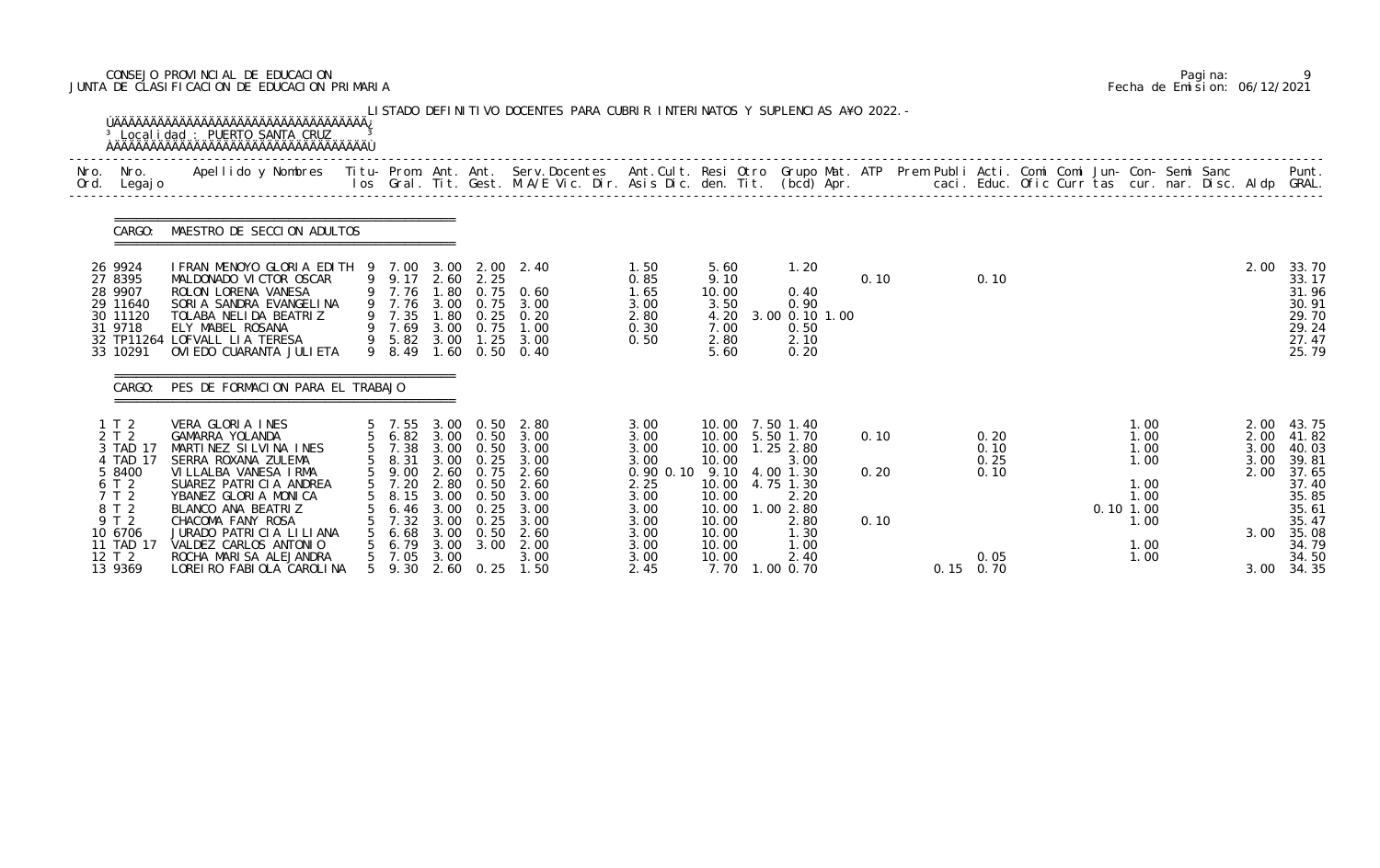# CONSEJO PROVINCIAL DE EDUCACION Pagina: 9 JUNTA DE CLASIFICACION DE EDUCACION PRIMARIA Fecha de Emision: 06/12/2021

|      |                                                                                                            | <sup>3</sup> Local i dad: PUERTO SANTA CRUZ                                                                                                                                                                                                                  |                                                                                                             |                                      |                                                   | LISTADO DEFINITIVO DOCENTES PARA CUBRIR INTERINATOS Y SUPLENCIAS A¥O 2022. -                                              |                                                                                                          |                                                               |                                                                                                                               |                      |             |                              |  |                                                                          |  |                                              |                                                                                                 |
|------|------------------------------------------------------------------------------------------------------------|--------------------------------------------------------------------------------------------------------------------------------------------------------------------------------------------------------------------------------------------------------------|-------------------------------------------------------------------------------------------------------------|--------------------------------------|---------------------------------------------------|---------------------------------------------------------------------------------------------------------------------------|----------------------------------------------------------------------------------------------------------|---------------------------------------------------------------|-------------------------------------------------------------------------------------------------------------------------------|----------------------|-------------|------------------------------|--|--------------------------------------------------------------------------|--|----------------------------------------------|-------------------------------------------------------------------------------------------------|
| Nro. | Nro.<br>Ord. Legajo                                                                                        | Apellido y Nombres - Titu- Prom. Ant. Ant. Serv.Docentes - Ant.Cult. Resi Otro Grupo Mat. ATP Prem Publi Acti. Comi Comi Jun- Con- Semi Sanc - - - Punt.<br>Ios Gral. Tit. Gest. M.A/E Vic. Dir. Asis Dic. den. Tit. (bcd) Apr. -                            |                                                                                                             |                                      |                                                   |                                                                                                                           |                                                                                                          |                                                               |                                                                                                                               |                      |             |                              |  |                                                                          |  |                                              |                                                                                                 |
|      | CARGO:                                                                                                     | MAESTRO DE SECCION ADULTOS                                                                                                                                                                                                                                   |                                                                                                             |                                      |                                                   |                                                                                                                           |                                                                                                          |                                                               |                                                                                                                               |                      |             |                              |  |                                                                          |  |                                              |                                                                                                 |
|      | 26 9924<br>27 8395<br>28 9907<br>29 11640<br>30 11120<br>31 9718<br>33 10291                               | IFRAN MENOYO GLORIA EDITH 9 7.00 3.00 2.00 2.40<br>MALDONADO VICTOR OSCAR<br>ROLON LORENA VANESA<br>SORIA SANDRA EVANGELINA<br>TOLABA NELIDA BEATRIZ<br>ELY MABEL ROSANA<br>32 TP11264 LOFVALL LIA TERESA<br>OVI EDO CUARANTA JULI ETA                       | 9 9.17 2.60 2.25<br>9 7.76<br>9 7.35<br>9 7.69<br>9 8.49                                                    | 1.80<br>3.00                         | 0.75                                              | $0.75$ 0.60<br>9 7.76 3.00 0.75 3.00<br>1.80 0.25 0.20<br>1.00<br>9 5.82 3.00 1.25 3.00<br>1.60 0.50 0.40                 | 1.50<br>0.85<br>1.65<br>3.00<br>2.80<br>0.30<br>0.50                                                     | 5.60<br>9.10<br>10.00<br>3.50<br>4.20<br>7.00<br>2.80<br>5.60 | 1.20<br>0.40<br>0.90<br>3.00 0.10 1.00<br>0.50<br>2.10<br>0.20                                                                | 0.10                 |             | 0.10                         |  |                                                                          |  | 2.00                                         | 33.70<br>33.17<br>31.96<br>30.91<br>29.70<br>29.24<br>27.47<br>25.79                            |
|      | CARGO:                                                                                                     | PES DE FORMACION PARA EL TRABAJO                                                                                                                                                                                                                             |                                                                                                             |                                      |                                                   |                                                                                                                           |                                                                                                          |                                                               |                                                                                                                               |                      |             |                              |  |                                                                          |  |                                              |                                                                                                 |
|      | 1T2<br>2 T 2<br>3 TAD 17<br>4 TAD 17<br>5 8400<br>6 T 2<br>7 T 2<br>8 T 2<br>9 T 2<br>10 6706<br>11 TAD 17 | VERA GLORIA INES<br>GAMARRA YOLANDA<br>MARTINEZ SILVINA INES<br>SERRA ROXANA ZULEMA<br>VILLALBA VANESA IRMA<br>SUAREZ PATRICIA ANDREA<br>YBANEZ GLORIA MONICA<br>BLANCO ANA BEATRIZ<br>CHACOMA FANY ROSA<br>JURADO PATRICIA LILIANA<br>VALDEZ CARLOS ANTONIO | 5 7.55 3.00 0.50<br>5 6.82 3.00 0.50<br>5 7.38<br>5 8.31<br>5 9.00<br>8.15<br>6.46<br>7.32<br>6.68<br>6. 79 | 3.00<br>3.00<br>3.00<br>3.00<br>3.00 | 2.60 0.75<br>0.50<br>0.25<br>0.25<br>0.50<br>3.00 | 2.80<br>3.00<br>3.00 0.50 3.00<br>3.00 0.25 3.00<br>2.60<br>5 7.20 2.80 0.50 2.60<br>3.00<br>3.00<br>3.00<br>2.60<br>2.00 | 3.00<br>3.00<br>3.00<br>3.00<br>0.90 0.10 9.10 4.00 1.30<br>2.25<br>3.00<br>3.00<br>3.00<br>3.00<br>3.00 | 10.00<br>10.00<br>10.00<br>10.00<br>10.00<br>10.00            | 10.00 7.50 1.40<br>10.00 5.50 1.70<br>10.00  1.25  2.80<br>3.00<br>10.00 4.75 1.30<br>2.20<br>.002.80<br>2.80<br>1.30<br>1.00 | 0.10<br>0.20<br>0.10 |             | 0.20<br>0.10<br>0.25<br>0.10 |  | 1.00<br>1.00<br>1.00<br>1.00<br>1.00<br>1.00<br>0.101.00<br>1.00<br>1.00 |  | 2.00<br>2.00<br>3.00<br>3.00<br>2.00<br>3.00 | 43.75<br>41.82<br>40.03<br>39.81<br>37.65<br>37.40<br>35.85<br>35.61<br>35.47<br>35.08<br>34.79 |
|      | 12 T 2<br>13 9369                                                                                          | ROCHA MARISA ALEJANDRA<br>LOREI RO FABI OLA CAROLINA                                                                                                                                                                                                         | 5 7.05<br>5 9.30                                                                                            | 3.00                                 |                                                   | 3.00<br>2.60 0.25 1.50                                                                                                    | 3.00<br>2.45                                                                                             | 10.00<br>7.70                                                 | 2.40<br>1.00 0.70                                                                                                             |                      | $0.15$ 0.70 | 0.05                         |  | 1.00                                                                     |  |                                              | 34.50<br>3.00 34.35                                                                             |

|  | Pagi na: |                              |
|--|----------|------------------------------|
|  |          | Fecha de Emision: 06/12/2021 |